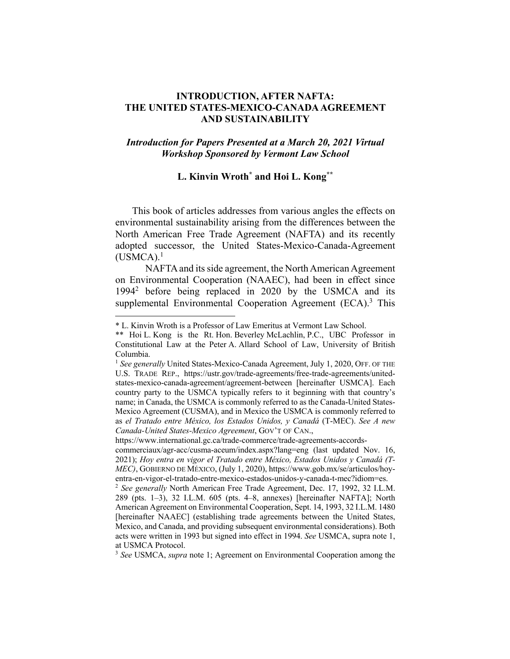## **INTRODUCTION, AFTER NAFTA: THE UNITED STATES-MEXICO-CANADA AGREEMENT AND SUSTAINABILITY**

## *Introduction for Papers Presented at a March 20, 2021 Virtual Workshop Sponsored by Vermont Law School*

## **L. Kinvin Wroth\* and Hoi L. Kong\*\***

This book of articles addresses from various angles the effects on environmental sustainability arising from the differences between the North American Free Trade Agreement (NAFTA) and its recently adopted successor, the United States-Mexico-Canada-Agreement  $(USMCA).<sup>1</sup>$ 

NAFTA and its side agreement, the North American Agreement on Environmental Cooperation (NAAEC), had been in effect since 19942 before being replaced in 2020 by the USMCA and its supplemental Environmental Cooperation Agreement (ECA).<sup>3</sup> This

https://www.international.gc.ca/trade-commerce/trade-agreements-accords-

<sup>\*</sup> L. Kinvin Wroth is a Professor of Law Emeritus at Vermont Law School.

<sup>\*\*</sup> Hoi L. Kong is the Rt. Hon. Beverley McLachlin, P.C., UBC Professor in Constitutional Law at the Peter A. Allard School of Law, University of British Columbia.

<sup>1</sup> *See generally* United States-Mexico-Canada Agreement, July 1, 2020, OFF. OF THE U.S. TRADE REP., https://ustr.gov/trade-agreements/free-trade-agreements/unitedstates-mexico-canada-agreement/agreement-between [hereinafter USMCA]. Each country party to the USMCA typically refers to it beginning with that country's name; in Canada, the USMCA is commonly referred to as the Canada-United States-Mexico Agreement (CUSMA), and in Mexico the USMCA is commonly referred to as *el Tratado entre México, los Estados Unidos, y Canadá* (T-MEC). *See A new Canada-United States-Mexico Agreement*, GOV'T OF CAN.,

commerciaux/agr-acc/cusma-aceum/index.aspx?lang=eng (last updated Nov. 16, 2021); *Hoy entra en vigor el Tratado entre México, Estados Unidos y Canadá (T-MEC)*, GOBIERNO DE MÉXICO, (July 1, 2020), https://www.gob.mx/se/articulos/hoyentra-en-vigor-el-tratado-entre-mexico-estados-unidos-y-canada-t-mec?idiom=es.

<sup>2</sup> *See generally* North American Free Trade Agreement, Dec. 17, 1992, 32 I.L.M. 289 (pts. 1–3), 32 I.L.M. 605 (pts. 4–8, annexes) [hereinafter NAFTA]; North American Agreement on Environmental Cooperation, Sept. 14, 1993, 32 I.L.M. 1480 [hereinafter NAAEC] (establishing trade agreements between the United States, Mexico, and Canada, and providing subsequent environmental considerations). Both acts were written in 1993 but signed into effect in 1994. *See* USMCA, supra note 1, at USMCA Protocol.

<sup>3</sup> *See* USMCA, *supra* note 1; Agreement on Environmental Cooperation among the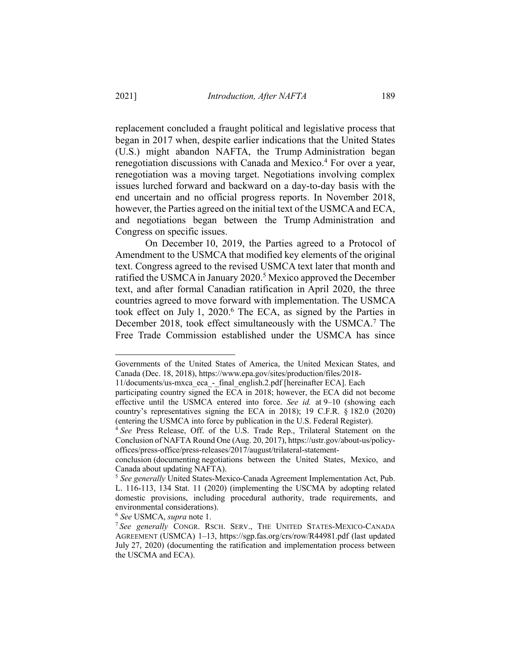replacement concluded a fraught political and legislative process that began in 2017 when, despite earlier indications that the United States (U.S.) might abandon NAFTA, the Trump Administration began renegotiation discussions with Canada and Mexico.<sup>4</sup> For over a year, renegotiation was a moving target. Negotiations involving complex issues lurched forward and backward on a day-to-day basis with the end uncertain and no official progress reports. In November 2018, however, the Parties agreed on the initial text of the USMCA and ECA, and negotiations began between the Trump Administration and Congress on specific issues.

On December 10, 2019, the Parties agreed to a Protocol of Amendment to the USMCA that modified key elements of the original text. Congress agreed to the revised USMCA text later that month and ratified the USMCA in January 2020.<sup>5</sup> Mexico approved the December text, and after formal Canadian ratification in April 2020, the three countries agreed to move forward with implementation. The USMCA took effect on July 1, 2020.<sup>6</sup> The ECA, as signed by the Parties in December 2018, took effect simultaneously with the USMCA.<sup>7</sup> The Free Trade Commission established under the USMCA has since

<sup>6</sup> *See* USMCA, *supra* note 1.

Governments of the United States of America, the United Mexican States, and Canada (Dec. 18, 2018), https://www.epa.gov/sites/production/files/2018-

<sup>11/</sup>documents/us-mxca\_eca\_-\_final\_english.2.pdf [hereinafter ECA]. Each

participating country signed the ECA in 2018; however, the ECA did not become effective until the USMCA entered into force. *See id.* at 9–10 (showing each country's representatives signing the ECA in 2018); 19 C.F.R. § 182.0 (2020) (entering the USMCA into force by publication in the U.S. Federal Register).

<sup>4</sup> *See* Press Release, Off. of the U.S. Trade Rep., Trilateral Statement on the Conclusion of NAFTA Round One (Aug. 20, 2017), https://ustr.gov/about-us/policyoffices/press-office/press-releases/2017/august/trilateral-statement-

conclusion (documenting negotiations between the United States, Mexico, and Canada about updating NAFTA).

<sup>5</sup> *See generally* United States-Mexico-Canada Agreement Implementation Act, Pub. L. 116-113, 134 Stat. 11 (2020) (implementing the USCMA by adopting related domestic provisions, including procedural authority, trade requirements, and environmental considerations).

<sup>7</sup> *See generally* CONGR. RSCH. SERV., THE UNITED STATES-MEXICO-CANADA AGREEMENT (USMCA) 1–13, https://sgp.fas.org/crs/row/R44981.pdf (last updated July 27, 2020) (documenting the ratification and implementation process between the USCMA and ECA).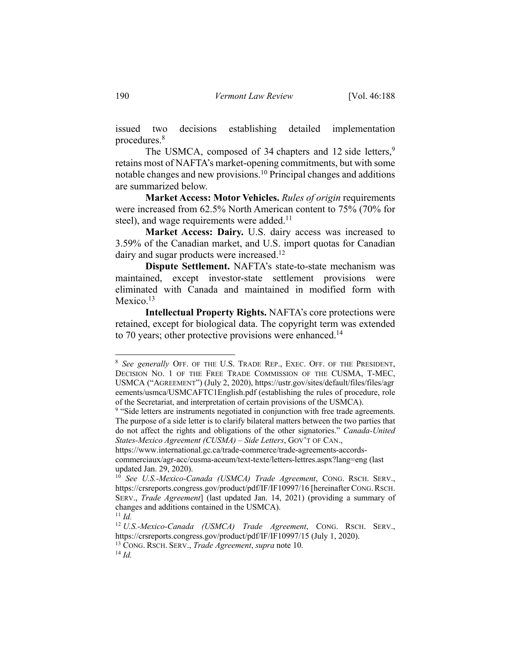issued two decisions establishing detailed implementation procedures.8

The USMCA, composed of 34 chapters and 12 side letters,  $9$ retains most of NAFTA's market-opening commitments, but with some notable changes and new provisions.<sup>10</sup> Principal changes and additions are summarized below.

**Market Access: Motor Vehicles.** *Rules of origin* requirements were increased from 62.5% North American content to 75% (70% for steel), and wage requirements were added. $11$ 

**Market Access: Dairy.** U.S. dairy access was increased to 3.59% of the Canadian market, and U.S. import quotas for Canadian dairy and sugar products were increased.<sup>12</sup>

**Dispute Settlement.** NAFTA's state-to-state mechanism was maintained, except investor-state settlement provisions were eliminated with Canada and maintained in modified form with Mexico.<sup>13</sup>

**Intellectual Property Rights.** NAFTA's core protections were retained, except for biological data. The copyright term was extended to 70 years; other protective provisions were enhanced.<sup>14</sup>

<sup>8</sup> *See generally* OFF. OF THE U.S. TRADE REP., EXEC. OFF. OF THE PRESIDENT, DECISION NO. 1 OF THE FREE TRADE COMMISSION OF THE CUSMA, T-MEC, USMCA ("AGREEMENT") (July 2, 2020), https://ustr.gov/sites/default/files/files/agr eements/usmca/USMCAFTC1English.pdf (establishing the rules of procedure, role of the Secretariat, and interpretation of certain provisions of the USMCA).

<sup>&</sup>lt;sup>9</sup> "Side letters are instruments negotiated in conjunction with free trade agreements. The purpose of a side letter is to clarify bilateral matters between the two parties that do not affect the rights and obligations of the other signatories." *Canada-United States-Mexico Agreement (CUSMA) – Side Letters*, GOV'T OF CAN.,

https://www.international.gc.ca/trade-commerce/trade-agreements-accords-

commerciaux/agr-acc/cusma-aceum/text-texte/letters-lettres.aspx?lang=eng (last updated Jan. 29, 2020).

<sup>10</sup> *See U.S.-Mexico-Canada (USMCA) Trade Agreement*, CONG. RSCH. SERV., https://crsreports.congress.gov/product/pdf/IF/IF10997/16 [hereinafter CONG. RSCH. SERV., *Trade Agreement*] (last updated Jan. 14, 2021) (providing a summary of changes and additions contained in the USMCA).

 $11$  *Id.* 

<sup>12</sup> *U.S.-Mexico-Canada (USMCA) Trade Agreement*, CONG. RSCH. SERV., https://crsreports.congress.gov/product/pdf/IF/IF10997/15 (July 1, 2020).

<sup>13</sup> CONG. RSCH. SERV., *Trade Agreement*, *supra* note 10.

<sup>14</sup> *Id.*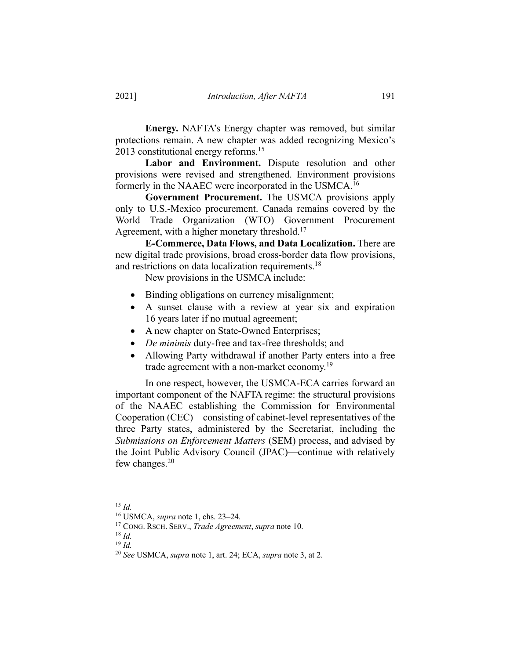**Energy.** NAFTA's Energy chapter was removed, but similar protections remain. A new chapter was added recognizing Mexico's 2013 constitutional energy reforms.<sup>15</sup>

**Labor and Environment.** Dispute resolution and other provisions were revised and strengthened. Environment provisions formerly in the NAAEC were incorporated in the USMCA.16

**Government Procurement.** The USMCA provisions apply only to U.S.-Mexico procurement. Canada remains covered by the World Trade Organization (WTO) Government Procurement Agreement, with a higher monetary threshold.<sup>17</sup>

**E-Commerce, Data Flows, and Data Localization.** There are new digital trade provisions, broad cross-border data flow provisions, and restrictions on data localization requirements.<sup>18</sup>

New provisions in the USMCA include:

- Binding obligations on currency misalignment;
- A sunset clause with a review at year six and expiration 16 years later if no mutual agreement;
- A new chapter on State-Owned Enterprises;
- *De minimis* duty-free and tax-free thresholds; and
- Allowing Party withdrawal if another Party enters into a free trade agreement with a non-market economy.<sup>19</sup>

In one respect, however, the USMCA-ECA carries forward an important component of the NAFTA regime: the structural provisions of the NAAEC establishing the Commission for Environmental Cooperation (CEC)—consisting of cabinet-level representatives of the three Party states, administered by the Secretariat, including the *Submissions on Enforcement Matters* (SEM) process, and advised by the Joint Public Advisory Council (JPAC)—continue with relatively few changes. $20$ 

<sup>15</sup> *Id.*

<sup>16</sup> USMCA, *supra* note 1, chs. 23–24.

<sup>17</sup> CONG. RSCH. SERV., *Trade Agreement*, *supra* note 10.

<sup>18</sup> *Id.*

<sup>19</sup> *Id.*

<sup>20</sup> *See* USMCA, *supra* note 1, art. 24; ECA, *supra* note 3, at 2.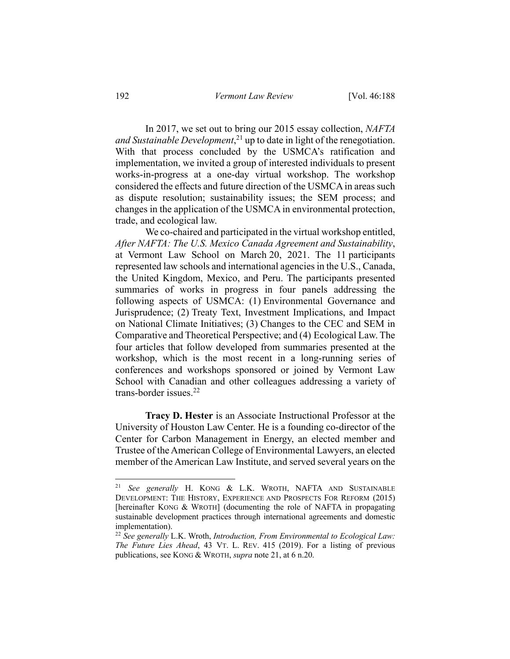In 2017, we set out to bring our 2015 essay collection, *NAFTA and Sustainable Development*, <sup>21</sup> up to date in light of the renegotiation. With that process concluded by the USMCA's ratification and implementation, we invited a group of interested individuals to present works-in-progress at a one-day virtual workshop. The workshop considered the effects and future direction of the USMCA in areas such as dispute resolution; sustainability issues; the SEM process; and changes in the application of the USMCA in environmental protection, trade, and ecological law.

We co-chaired and participated in the virtual workshop entitled, *After NAFTA: The U.S. Mexico Canada Agreement and Sustainability*, at Vermont Law School on March 20, 2021. The 11 participants represented law schools and international agencies in the U.S., Canada, the United Kingdom, Mexico, and Peru. The participants presented summaries of works in progress in four panels addressing the following aspects of USMCA: (1) Environmental Governance and Jurisprudence; (2) Treaty Text, Investment Implications, and Impact on National Climate Initiatives; (3) Changes to the CEC and SEM in Comparative and Theoretical Perspective; and (4) Ecological Law. The four articles that follow developed from summaries presented at the workshop, which is the most recent in a long-running series of conferences and workshops sponsored or joined by Vermont Law School with Canadian and other colleagues addressing a variety of trans-border issues.22

**Tracy D. Hester** is an Associate Instructional Professor at the University of Houston Law Center. He is a founding co-director of the Center for Carbon Management in Energy, an elected member and Trustee of the American College of Environmental Lawyers, an elected member of the American Law Institute, and served several years on the

<sup>21</sup> *See generally* H. KONG & L.K. WROTH, NAFTA AND SUSTAINABLE DEVELOPMENT: THE HISTORY, EXPERIENCE AND PROSPECTS FOR REFORM (2015) [hereinafter KONG & WROTH] (documenting the role of NAFTA in propagating sustainable development practices through international agreements and domestic implementation).

<sup>22</sup> *See generally* L.K. Wroth, *Introduction, From Environmental to Ecological Law: The Future Lies Ahead*, 43 VT. L. REV. 415 (2019). For a listing of previous publications, see KONG & WROTH, *supra* note 21, at 6 n.20.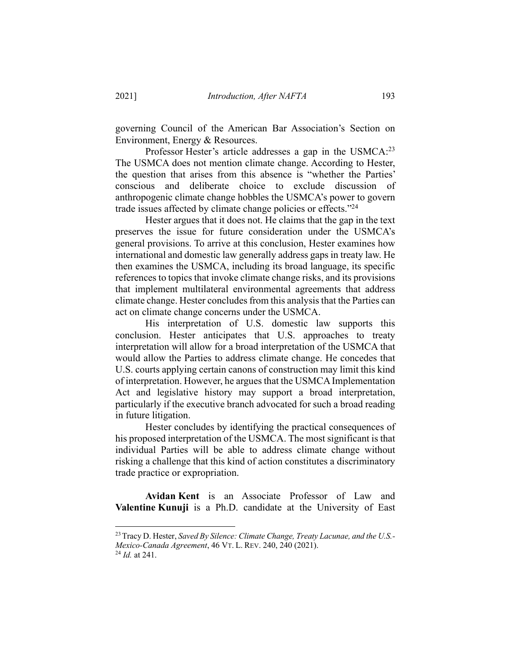governing Council of the American Bar Association's Section on Environment, Energy & Resources.

Professor Hester's article addresses a gap in the USMCA:<sup>23</sup> The USMCA does not mention climate change. According to Hester, the question that arises from this absence is "whether the Parties' conscious and deliberate choice to exclude discussion of anthropogenic climate change hobbles the USMCA's power to govern trade issues affected by climate change policies or effects. $^{24}$ 

Hester argues that it does not. He claims that the gap in the text preserves the issue for future consideration under the USMCA's general provisions. To arrive at this conclusion, Hester examines how international and domestic law generally address gaps in treaty law. He then examines the USMCA, including its broad language, its specific references to topics that invoke climate change risks, and its provisions that implement multilateral environmental agreements that address climate change. Hester concludes from this analysis that the Parties can act on climate change concerns under the USMCA.

His interpretation of U.S. domestic law supports this conclusion. Hester anticipates that U.S. approaches to treaty interpretation will allow for a broad interpretation of the USMCA that would allow the Parties to address climate change. He concedes that U.S. courts applying certain canons of construction may limit this kind of interpretation. However, he argues that the USMCA Implementation Act and legislative history may support a broad interpretation, particularly if the executive branch advocated for such a broad reading in future litigation.

Hester concludes by identifying the practical consequences of his proposed interpretation of the USMCA. The most significant is that individual Parties will be able to address climate change without risking a challenge that this kind of action constitutes a discriminatory trade practice or expropriation.

**Avidan Kent** is an Associate Professor of Law and **Valentine Kunuji** is a Ph.D. candidate at the University of East

<sup>23</sup>Tracy D. Hester, *Saved By Silence: Climate Change, Treaty Lacunae, and the U.S.- Mexico-Canada Agreement*, 46 VT. L. REV. 240, 240 (2021).

<sup>24</sup> *Id.* at 241.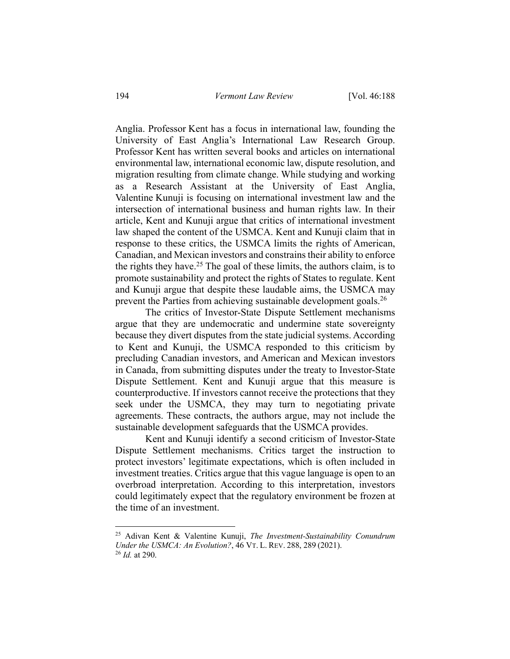Anglia. Professor Kent has a focus in international law, founding the University of East Anglia's International Law Research Group. Professor Kent has written several books and articles on international environmental law, international economic law, dispute resolution, and migration resulting from climate change. While studying and working as a Research Assistant at the University of East Anglia, Valentine Kunuji is focusing on international investment law and the intersection of international business and human rights law. In their article, Kent and Kunuji argue that critics of international investment law shaped the content of the USMCA. Kent and Kunuji claim that in response to these critics, the USMCA limits the rights of American, Canadian, and Mexican investors and constrains their ability to enforce the rights they have.<sup>25</sup> The goal of these limits, the authors claim, is to promote sustainability and protect the rights of States to regulate. Kent and Kunuji argue that despite these laudable aims, the USMCA may prevent the Parties from achieving sustainable development goals.<sup>26</sup>

The critics of Investor-State Dispute Settlement mechanisms argue that they are undemocratic and undermine state sovereignty because they divert disputes from the state judicial systems. According to Kent and Kunuji, the USMCA responded to this criticism by precluding Canadian investors, and American and Mexican investors in Canada, from submitting disputes under the treaty to Investor-State Dispute Settlement. Kent and Kunuji argue that this measure is counterproductive. If investors cannot receive the protections that they seek under the USMCA, they may turn to negotiating private agreements. These contracts, the authors argue, may not include the sustainable development safeguards that the USMCA provides.

Kent and Kunuji identify a second criticism of Investor-State Dispute Settlement mechanisms. Critics target the instruction to protect investors' legitimate expectations, which is often included in investment treaties. Critics argue that this vague language is open to an overbroad interpretation. According to this interpretation, investors could legitimately expect that the regulatory environment be frozen at the time of an investment.

<sup>25</sup> Adivan Kent & Valentine Kunuji, *The Investment-Sustainability Conundrum Under the USMCA: An Evolution?*, 46 VT. L. REV. 288, 289 (2021).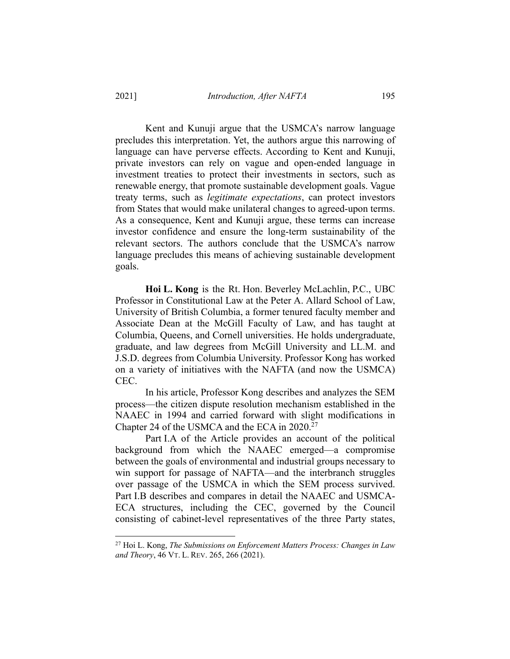Kent and Kunuji argue that the USMCA's narrow language precludes this interpretation. Yet, the authors argue this narrowing of language can have perverse effects. According to Kent and Kunuji, private investors can rely on vague and open-ended language in investment treaties to protect their investments in sectors, such as renewable energy, that promote sustainable development goals. Vague treaty terms, such as *legitimate expectations*, can protect investors from States that would make unilateral changes to agreed-upon terms. As a consequence, Kent and Kunuji argue, these terms can increase investor confidence and ensure the long-term sustainability of the relevant sectors. The authors conclude that the USMCA's narrow language precludes this means of achieving sustainable development goals.

**Hoi L. Kong** is the Rt. Hon. Beverley McLachlin, P.C., UBC Professor in Constitutional Law at the Peter A. Allard School of Law, University of British Columbia, a former tenured faculty member and Associate Dean at the McGill Faculty of Law, and has taught at Columbia, Queens, and Cornell universities. He holds undergraduate, graduate, and law degrees from McGill University and LL.M. and J.S.D. degrees from Columbia University. Professor Kong has worked on a variety of initiatives with the NAFTA (and now the USMCA) CEC.

In his article, Professor Kong describes and analyzes the SEM process—the citizen dispute resolution mechanism established in the NAAEC in 1994 and carried forward with slight modifications in Chapter 24 of the USMCA and the ECA in 2020.27

Part I.A of the Article provides an account of the political background from which the NAAEC emerged—a compromise between the goals of environmental and industrial groups necessary to win support for passage of NAFTA—and the interbranch struggles over passage of the USMCA in which the SEM process survived. Part I.B describes and compares in detail the NAAEC and USMCA-ECA structures, including the CEC, governed by the Council consisting of cabinet-level representatives of the three Party states,

<sup>27</sup> Hoi L. Kong, *The Submissions on Enforcement Matters Process: Changes in Law and Theory*, 46 VT. L. REV. 265, 266 (2021).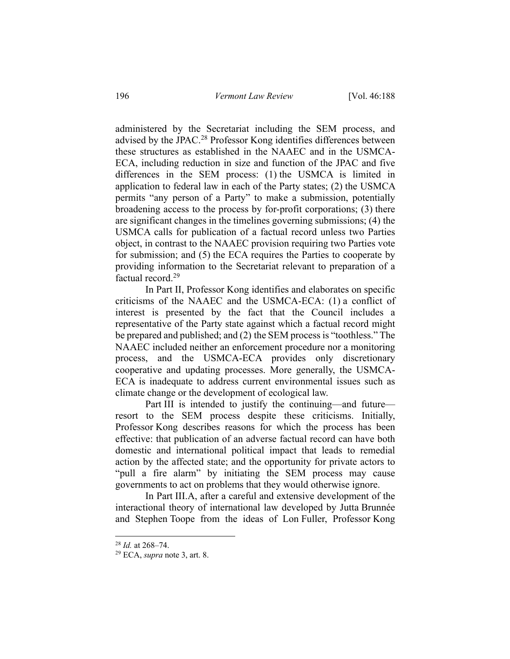administered by the Secretariat including the SEM process, and advised by the JPAC.28 Professor Kong identifies differences between these structures as established in the NAAEC and in the USMCA-ECA, including reduction in size and function of the JPAC and five differences in the SEM process: (1) the USMCA is limited in application to federal law in each of the Party states; (2) the USMCA permits "any person of a Party" to make a submission, potentially broadening access to the process by for-profit corporations; (3) there are significant changes in the timelines governing submissions; (4) the USMCA calls for publication of a factual record unless two Parties object, in contrast to the NAAEC provision requiring two Parties vote for submission; and (5) the ECA requires the Parties to cooperate by providing information to the Secretariat relevant to preparation of a factual record.29

In Part II, Professor Kong identifies and elaborates on specific criticisms of the NAAEC and the USMCA-ECA: (1) a conflict of interest is presented by the fact that the Council includes a representative of the Party state against which a factual record might be prepared and published; and (2) the SEM process is "toothless." The NAAEC included neither an enforcement procedure nor a monitoring process, and the USMCA-ECA provides only discretionary cooperative and updating processes. More generally, the USMCA-ECA is inadequate to address current environmental issues such as climate change or the development of ecological law.

Part III is intended to justify the continuing—and future resort to the SEM process despite these criticisms. Initially, Professor Kong describes reasons for which the process has been effective: that publication of an adverse factual record can have both domestic and international political impact that leads to remedial action by the affected state; and the opportunity for private actors to "pull a fire alarm" by initiating the SEM process may cause governments to act on problems that they would otherwise ignore.

In Part III.A, after a careful and extensive development of the interactional theory of international law developed by Jutta Brunnée and Stephen Toope from the ideas of Lon Fuller, Professor Kong

<sup>28</sup> *Id.* at 268–74.

<sup>29</sup> ECA, *supra* note 3, art. 8.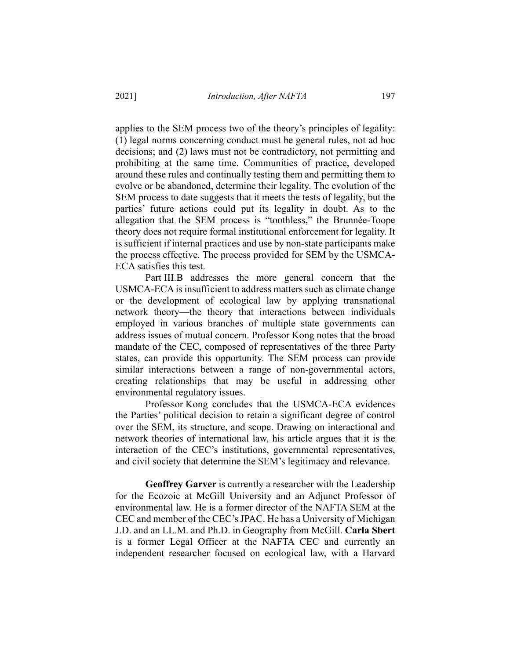applies to the SEM process two of the theory's principles of legality: (1) legal norms concerning conduct must be general rules, not ad hoc decisions; and (2) laws must not be contradictory, not permitting and prohibiting at the same time. Communities of practice, developed around these rules and continually testing them and permitting them to evolve or be abandoned, determine their legality. The evolution of the SEM process to date suggests that it meets the tests of legality, but the parties' future actions could put its legality in doubt. As to the allegation that the SEM process is "toothless," the Brunnée-Toope theory does not require formal institutional enforcement for legality. It is sufficient if internal practices and use by non-state participants make the process effective. The process provided for SEM by the USMCA-ECA satisfies this test.

Part III.B addresses the more general concern that the USMCA-ECA is insufficient to address matters such as climate change or the development of ecological law by applying transnational network theory—the theory that interactions between individuals employed in various branches of multiple state governments can address issues of mutual concern. Professor Kong notes that the broad mandate of the CEC, composed of representatives of the three Party states, can provide this opportunity. The SEM process can provide similar interactions between a range of non-governmental actors, creating relationships that may be useful in addressing other environmental regulatory issues.

Professor Kong concludes that the USMCA-ECA evidences the Parties' political decision to retain a significant degree of control over the SEM, its structure, and scope. Drawing on interactional and network theories of international law, his article argues that it is the interaction of the CEC's institutions, governmental representatives, and civil society that determine the SEM's legitimacy and relevance.

**Geoffrey Garver** is currently a researcher with the Leadership for the Ecozoic at McGill University and an Adjunct Professor of environmental law. He is a former director of the NAFTA SEM at the CEC and member of the CEC's JPAC. He has a University of Michigan J.D. and an LL.M. and Ph.D. in Geography from McGill. **Carla Sbert**  is a former Legal Officer at the NAFTA CEC and currently an independent researcher focused on ecological law, with a Harvard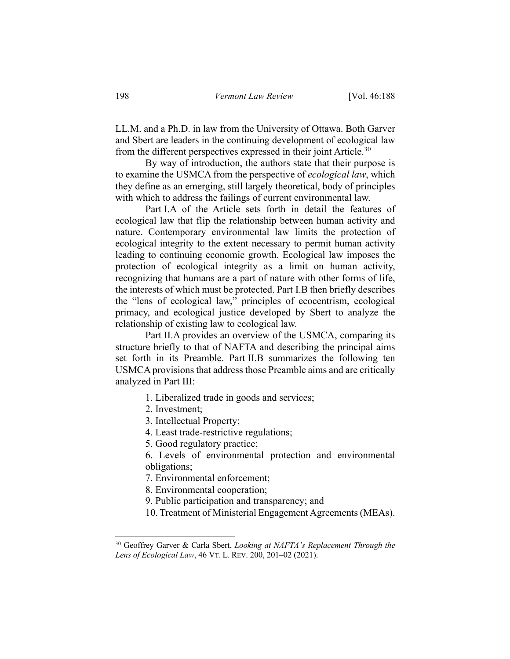LL.M. and a Ph.D. in law from the University of Ottawa. Both Garver and Sbert are leaders in the continuing development of ecological law from the different perspectives expressed in their joint Article.<sup>30</sup>

By way of introduction, the authors state that their purpose is to examine the USMCA from the perspective of *ecological law*, which they define as an emerging, still largely theoretical, body of principles with which to address the failings of current environmental law.

Part I.A of the Article sets forth in detail the features of ecological law that flip the relationship between human activity and nature. Contemporary environmental law limits the protection of ecological integrity to the extent necessary to permit human activity leading to continuing economic growth. Ecological law imposes the protection of ecological integrity as a limit on human activity, recognizing that humans are a part of nature with other forms of life, the interests of which must be protected. Part I.B then briefly describes the "lens of ecological law," principles of ecocentrism, ecological primacy, and ecological justice developed by Sbert to analyze the relationship of existing law to ecological law.

Part II.A provides an overview of the USMCA, comparing its structure briefly to that of NAFTA and describing the principal aims set forth in its Preamble. Part II.B summarizes the following ten USMCA provisions that address those Preamble aims and are critically analyzed in Part III:

- 1. Liberalized trade in goods and services;
- 2. Investment;
- 3. Intellectual Property;
- 4. Least trade-restrictive regulations;
- 5. Good regulatory practice;

6. Levels of environmental protection and environmental obligations;

7. Environmental enforcement;

8. Environmental cooperation;

- 9. Public participation and transparency; and
- 10. Treatment of Ministerial Engagement Agreements (MEAs).

<sup>30</sup> Geoffrey Garver & Carla Sbert, *Looking at NAFTA's Replacement Through the Lens of Ecological Law*, 46 VT. L. REV. 200, 201–02 (2021).